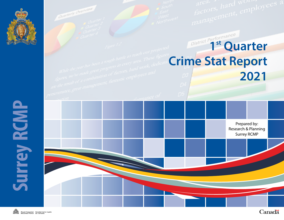

**Surrey RCMP** 



Canadä